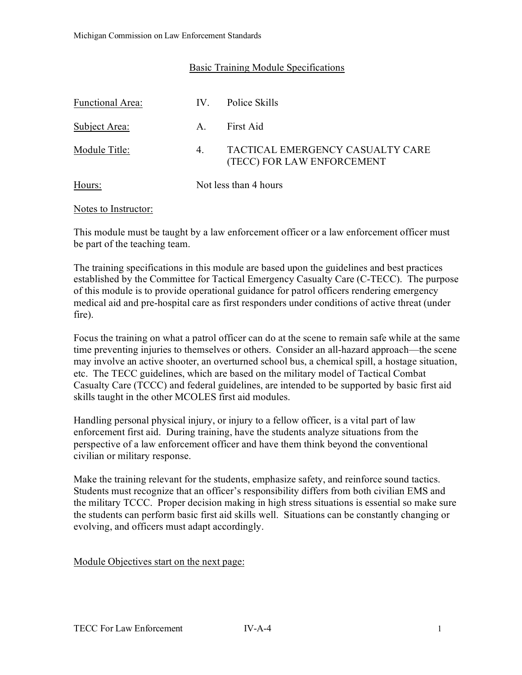## Basic Training Module Specifications

| Functional Area: | $IV_{-}$              | Police Skills                                                  |
|------------------|-----------------------|----------------------------------------------------------------|
| Subject Area:    | $A_{\cdot}$           | First Aid                                                      |
| Module Title:    | 4.                    | TACTICAL EMERGENCY CASUALTY CARE<br>(TECC) FOR LAW ENFORCEMENT |
| Hours:           | Not less than 4 hours |                                                                |

#### Notes to Instructor:

This module must be taught by a law enforcement officer or a law enforcement officer must be part of the teaching team.

The training specifications in this module are based upon the guidelines and best practices established by the Committee for Tactical Emergency Casualty Care (C-TECC). The purpose of this module is to provide operational guidance for patrol officers rendering emergency medical aid and pre-hospital care as first responders under conditions of active threat (under fire).

Focus the training on what a patrol officer can do at the scene to remain safe while at the same time preventing injuries to themselves or others. Consider an all-hazard approach—the scene may involve an active shooter, an overturned school bus, a chemical spill, a hostage situation, etc. The TECC guidelines, which are based on the military model of Tactical Combat Casualty Care (TCCC) and federal guidelines, are intended to be supported by basic first aid skills taught in the other MCOLES first aid modules.

Handling personal physical injury, or injury to a fellow officer, is a vital part of law enforcement first aid. During training, have the students analyze situations from the perspective of a law enforcement officer and have them think beyond the conventional civilian or military response.

Make the training relevant for the students, emphasize safety, and reinforce sound tactics. Students must recognize that an officer's responsibility differs from both civilian EMS and the military TCCC. Proper decision making in high stress situations is essential so make sure the students can perform basic first aid skills well. Situations can be constantly changing or evolving, and officers must adapt accordingly.

Module Objectives start on the next page: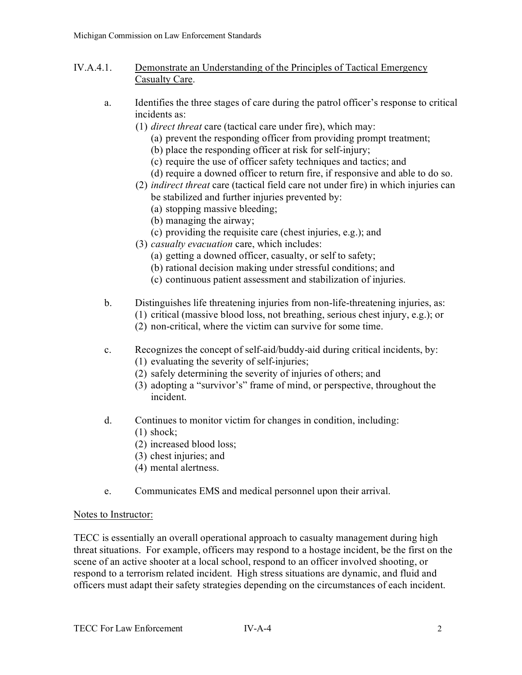- IV.A.4.1. Demonstrate an Understanding of the Principles of Tactical Emergency Casualty Care.
	- a. Identifies the three stages of care during the patrol officer's response to critical incidents as:
		- (1) *direct threat* care (tactical care under fire), which may:
			- (a) prevent the responding officer from providing prompt treatment;
			- (b) place the responding officer at risk for self-injury;
			- (c) require the use of officer safety techniques and tactics; and
			- (d) require a downed officer to return fire, if responsive and able to do so.
		- (2) *indirect threat* care (tactical field care not under fire) in which injuries can be stabilized and further injuries prevented by:
			- (a) stopping massive bleeding;
			- (b) managing the airway;
			- (c) providing the requisite care (chest injuries, e.g.); and
		- (3) *casualty evacuation* care, which includes:
			- (a) getting a downed officer, casualty, or self to safety;
			- (b) rational decision making under stressful conditions; and
			- (c) continuous patient assessment and stabilization of injuries.
	- b. Distinguishes life threatening injuries from non-life-threatening injuries, as:
		- (1) critical (massive blood loss, not breathing, serious chest injury, e.g.); or
		- (2) non-critical, where the victim can survive for some time.
	- c. Recognizes the concept of self-aid/buddy-aid during critical incidents, by: (1) evaluating the severity of self-injuries;
		- (2) safely determining the severity of injuries of others; and
		- (3) adopting a "survivor's" frame of mind, or perspective, throughout the incident.
	- d. Continues to monitor victim for changes in condition, including:
		- (1) shock;
		- (2) increased blood loss;
		- (3) chest injuries; and
		- (4) mental alertness.
	- e. Communicates EMS and medical personnel upon their arrival.

#### Notes to Instructor:

TECC is essentially an overall operational approach to casualty management during high threat situations. For example, officers may respond to a hostage incident, be the first on the scene of an active shooter at a local school, respond to an officer involved shooting, or respond to a terrorism related incident. High stress situations are dynamic, and fluid and officers must adapt their safety strategies depending on the circumstances of each incident.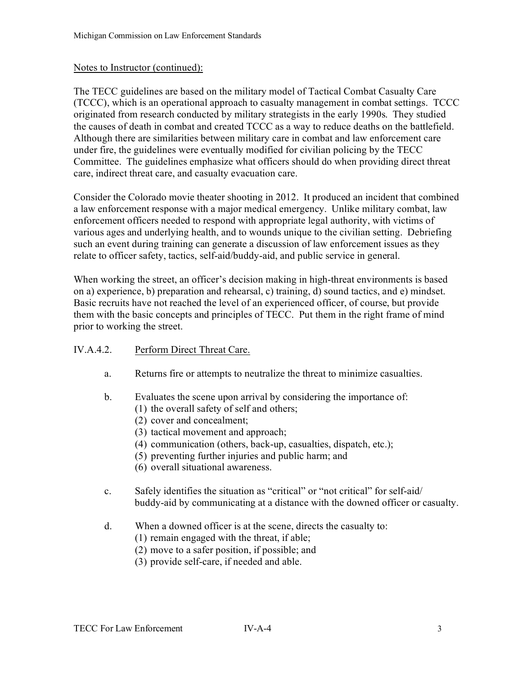## Notes to Instructor (continued):

The TECC guidelines are based on the military model of Tactical Combat Casualty Care (TCCC), which is an operational approach to casualty management in combat settings. TCCC originated from research conducted by military strategists in the early 1990s. They studied the causes of death in combat and created TCCC as a way to reduce deaths on the battlefield. Although there are similarities between military care in combat and law enforcement care under fire, the guidelines were eventually modified for civilian policing by the TECC Committee. The guidelines emphasize what officers should do when providing direct threat care, indirect threat care, and casualty evacuation care.

Consider the Colorado movie theater shooting in 2012. It produced an incident that combined a law enforcement response with a major medical emergency. Unlike military combat, law enforcement officers needed to respond with appropriate legal authority, with victims of various ages and underlying health, and to wounds unique to the civilian setting. Debriefing such an event during training can generate a discussion of law enforcement issues as they relate to officer safety, tactics, self-aid/buddy-aid, and public service in general.

When working the street, an officer's decision making in high-threat environments is based on a) experience, b) preparation and rehearsal, c) training, d) sound tactics, and e) mindset. Basic recruits have not reached the level of an experienced officer, of course, but provide them with the basic concepts and principles of TECC. Put them in the right frame of mind prior to working the street.

## IV.A.4.2. Perform Direct Threat Care.

- a. Returns fire or attempts to neutralize the threat to minimize casualties.
- b. Evaluates the scene upon arrival by considering the importance of:
	- (1) the overall safety of self and others;
	- (2) cover and concealment;
	- (3) tactical movement and approach;
	- (4) communication (others, back-up, casualties, dispatch, etc.);
	- (5) preventing further injuries and public harm; and
	- (6) overall situational awareness.
- c. Safely identifies the situation as "critical" or "not critical" for self-aid/ buddy-aid by communicating at a distance with the downed officer or casualty.
- d. When a downed officer is at the scene, directs the casualty to:
	- (1) remain engaged with the threat, if able;
	- (2) move to a safer position, if possible; and
	- (3) provide self-care, if needed and able.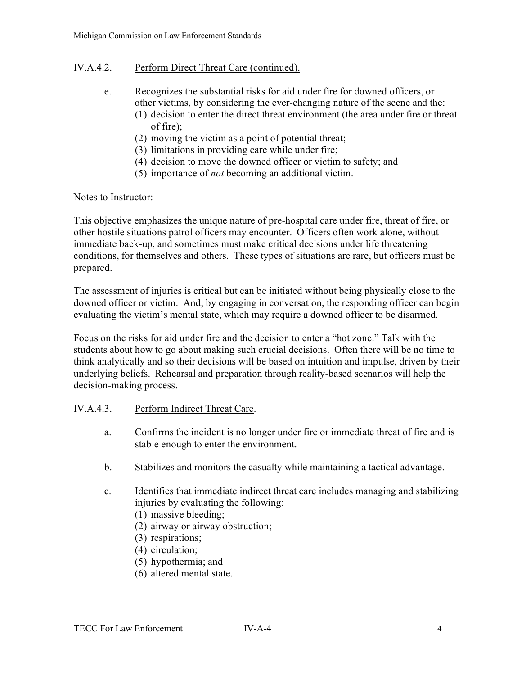# IV.A.4.2. Perform Direct Threat Care (continued).

- e. Recognizes the substantial risks for aid under fire for downed officers, or other victims, by considering the ever-changing nature of the scene and the:
	- (1) decision to enter the direct threat environment (the area under fire or threat of fire);
	- (2) moving the victim as a point of potential threat;
	- (3) limitations in providing care while under fire;
	- (4) decision to move the downed officer or victim to safety; and
	- (5) importance of *not* becoming an additional victim.

### Notes to Instructor:

This objective emphasizes the unique nature of pre-hospital care under fire, threat of fire, or other hostile situations patrol officers may encounter. Officers often work alone, without immediate back-up, and sometimes must make critical decisions under life threatening conditions, for themselves and others. These types of situations are rare, but officers must be prepared.

The assessment of injuries is critical but can be initiated without being physically close to the downed officer or victim. And, by engaging in conversation, the responding officer can begin evaluating the victim's mental state, which may require a downed officer to be disarmed.

Focus on the risks for aid under fire and the decision to enter a "hot zone." Talk with the students about how to go about making such crucial decisions. Often there will be no time to think analytically and so their decisions will be based on intuition and impulse, driven by their underlying beliefs. Rehearsal and preparation through reality-based scenarios will help the decision-making process.

## IV.A.4.3. Perform Indirect Threat Care.

- a. Confirms the incident is no longer under fire or immediate threat of fire and is stable enough to enter the environment.
- b. Stabilizes and monitors the casualty while maintaining a tactical advantage.
- c. Identifies that immediate indirect threat care includes managing and stabilizing injuries by evaluating the following:
	- (1) massive bleeding;
	- (2) airway or airway obstruction;
	- (3) respirations;
	- (4) circulation;
	- (5) hypothermia; and
	- (6) altered mental state.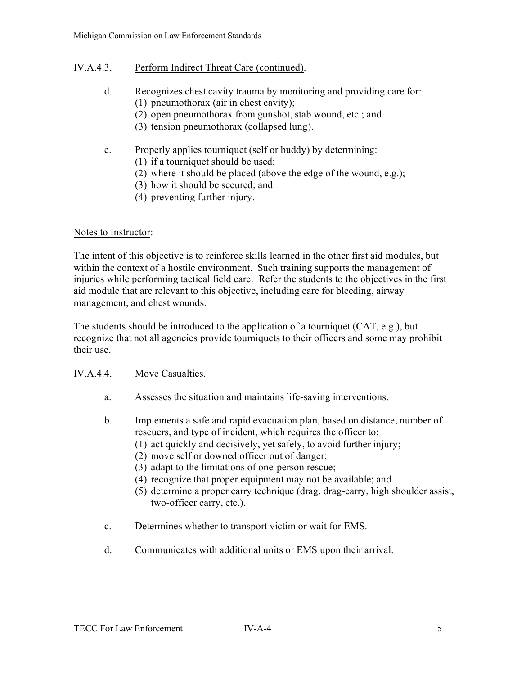# IV.A.4.3. Perform Indirect Threat Care (continued).

- d. Recognizes chest cavity trauma by monitoring and providing care for: (1) pneumothorax (air in chest cavity);
	- (2) open pneumothorax from gunshot, stab wound, etc.; and
	- (3) tension pneumothorax (collapsed lung).
- e. Properly applies tourniquet (self or buddy) by determining:
	- (1) if a tourniquet should be used;
	- (2) where it should be placed (above the edge of the wound, e.g.);
	- (3) how it should be secured; and
	- (4) preventing further injury.

### Notes to Instructor:

The intent of this objective is to reinforce skills learned in the other first aid modules, but within the context of a hostile environment. Such training supports the management of injuries while performing tactical field care. Refer the students to the objectives in the first aid module that are relevant to this objective, including care for bleeding, airway management, and chest wounds.

The students should be introduced to the application of a tourniquet (CAT, e.g.), but recognize that not all agencies provide tourniquets to their officers and some may prohibit their use.

#### IV.A.4.4. Move Casualties.

- a. Assesses the situation and maintains life-saving interventions.
- b. Implements a safe and rapid evacuation plan, based on distance, number of rescuers, and type of incident, which requires the officer to:
	- (1) act quickly and decisively, yet safely, to avoid further injury;
	- (2) move self or downed officer out of danger;
	- (3) adapt to the limitations of one-person rescue;
	- (4) recognize that proper equipment may not be available; and
	- (5) determine a proper carry technique (drag, drag-carry, high shoulder assist, two-officer carry, etc.).
- c. Determines whether to transport victim or wait for EMS.
- d. Communicates with additional units or EMS upon their arrival.